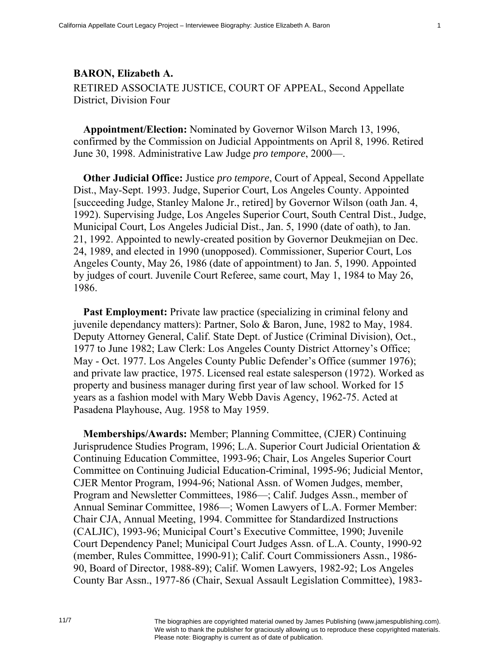## **BARON, Elizabeth A.**  RETIRED ASSOCIATE JUSTICE, COURT OF APPEAL, Second Appellate District, Division Four

**Appointment/Election:** Nominated by Governor Wilson March 13, 1996, confirmed by the Commission on Judicial Appointments on April 8, 1996. Retired June 30, 1998. Administrative Law Judge *pro tempore*, 2000—.

**Other Judicial Office:** Justice *pro tempore*, Court of Appeal, Second Appellate Dist., May-Sept. 1993. Judge, Superior Court, Los Angeles County. Appointed [succeeding Judge, Stanley Malone Jr., retired] by Governor Wilson (oath Jan. 4, 1992). Supervising Judge, Los Angeles Superior Court, South Central Dist., Judge, Municipal Court, Los Angeles Judicial Dist., Jan. 5, 1990 (date of oath), to Jan. 21, 1992. Appointed to newly-created position by Governor Deukmejian on Dec. 24, 1989, and elected in 1990 (unopposed). Commissioner, Superior Court, Los Angeles County, May 26, 1986 (date of appointment) to Jan. 5, 1990. Appointed by judges of court. Juvenile Court Referee, same court, May 1, 1984 to May 26, 1986.

**Past Employment:** Private law practice (specializing in criminal felony and juvenile dependancy matters): Partner, Solo & Baron, June, 1982 to May, 1984. Deputy Attorney General, Calif. State Dept. of Justice (Criminal Division), Oct., 1977 to June 1982; Law Clerk: Los Angeles County District Attorney's Office; May - Oct. 1977. Los Angeles County Public Defender's Office (summer 1976); and private law practice, 1975. Licensed real estate salesperson (1972). Worked as property and business manager during first year of law school. Worked for 15 years as a fashion model with Mary Webb Davis Agency, 1962-75. Acted at Pasadena Playhouse, Aug. 1958 to May 1959.

**Memberships/Awards:** Member; Planning Committee, (CJER) Continuing Jurisprudence Studies Program, 1996; L.A. Superior Court Judicial Orientation & Continuing Education Committee, 1993-96; Chair, Los Angeles Superior Court Committee on Continuing Judicial Education-Criminal, 1995-96; Judicial Mentor, CJER Mentor Program, 1994-96; National Assn. of Women Judges, member, Program and Newsletter Committees, 1986—; Calif. Judges Assn., member of Annual Seminar Committee, 1986—; Women Lawyers of L.A. Former Member: Chair CJA, Annual Meeting, 1994. Committee for Standardized Instructions (CALJIC), 1993-96; Municipal Court's Executive Committee, 1990; Juvenile Court Dependency Panel; Municipal Court Judges Assn. of L.A. County, 1990-92 (member, Rules Committee, 1990-91); Calif. Court Commissioners Assn., 1986- 90, Board of Director, 1988-89); Calif. Women Lawyers, 1982-92; Los Angeles County Bar Assn., 1977-86 (Chair, Sexual Assault Legislation Committee), 1983-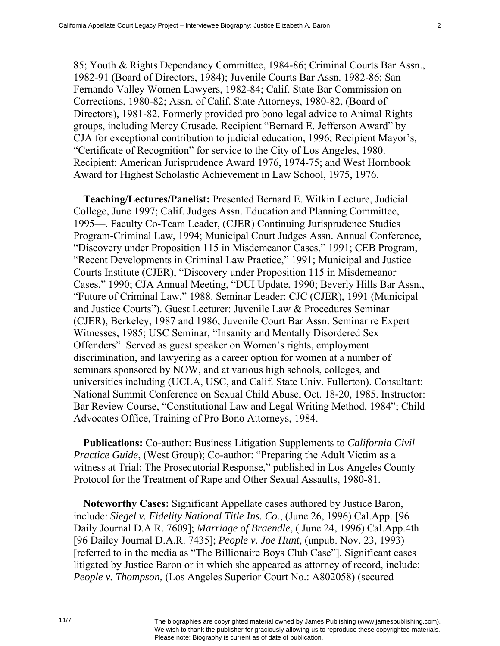85; Youth & Rights Dependancy Committee, 1984-86; Criminal Courts Bar Assn., 1982-91 (Board of Directors, 1984); Juvenile Courts Bar Assn. 1982-86; San Fernando Valley Women Lawyers, 1982-84; Calif. State Bar Commission on Corrections, 1980-82; Assn. of Calif. State Attorneys, 1980-82, (Board of Directors), 1981-82. Formerly provided pro bono legal advice to Animal Rights groups, including Mercy Crusade. Recipient "Bernard E. Jefferson Award" by CJA for exceptional contribution to judicial education, 1996; Recipient Mayor's, "Certificate of Recognition" for service to the City of Los Angeles, 1980. Recipient: American Jurisprudence Award 1976, 1974-75; and West Hornbook Award for Highest Scholastic Achievement in Law School, 1975, 1976.

**Teaching/Lectures/Panelist:** Presented Bernard E. Witkin Lecture, Judicial College, June 1997; Calif. Judges Assn. Education and Planning Committee, 1995—. Faculty Co-Team Leader, (CJER) Continuing Jurisprudence Studies Program-Criminal Law, 1994; Municipal Court Judges Assn. Annual Conference, "Discovery under Proposition 115 in Misdemeanor Cases," 1991; CEB Program, "Recent Developments in Criminal Law Practice," 1991; Municipal and Justice Courts Institute (CJER), "Discovery under Proposition 115 in Misdemeanor Cases," 1990; CJA Annual Meeting, "DUI Update, 1990; Beverly Hills Bar Assn., "Future of Criminal Law," 1988. Seminar Leader: CJC (CJER), 1991 (Municipal and Justice Courts"). Guest Lecturer: Juvenile Law & Procedures Seminar (CJER), Berkeley, 1987 and 1986; Juvenile Court Bar Assn. Seminar re Expert Witnesses, 1985; USC Seminar, "Insanity and Mentally Disordered Sex Offenders". Served as guest speaker on Women's rights, employment discrimination, and lawyering as a career option for women at a number of seminars sponsored by NOW, and at various high schools, colleges, and universities including (UCLA, USC, and Calif. State Univ. Fullerton). Consultant: National Summit Conference on Sexual Child Abuse, Oct. 18-20, 1985. Instructor: Bar Review Course, "Constitutional Law and Legal Writing Method, 1984"; Child Advocates Office, Training of Pro Bono Attorneys, 1984.

**Publications:** Co-author: Business Litigation Supplements to *California Civil Practice Guide*, (West Group); Co-author: "Preparing the Adult Victim as a witness at Trial: The Prosecutorial Response," published in Los Angeles County Protocol for the Treatment of Rape and Other Sexual Assaults, 1980-81.

**Noteworthy Cases:** Significant Appellate cases authored by Justice Baron, include: *Siegel v. Fidelity National Title Ins. Co.*, (June 26, 1996) Cal.App. [96 Daily Journal D.A.R. 7609]; *Marriage of Braendle*, ( June 24, 1996) Cal.App.4th [96 Dailey Journal D.A.R. 7435]; *People v. Joe Hunt*, (unpub. Nov. 23, 1993) [referred to in the media as "The Billionaire Boys Club Case"]. Significant cases litigated by Justice Baron or in which she appeared as attorney of record, include: *People v. Thompson*, (Los Angeles Superior Court No.: A802058) (secured